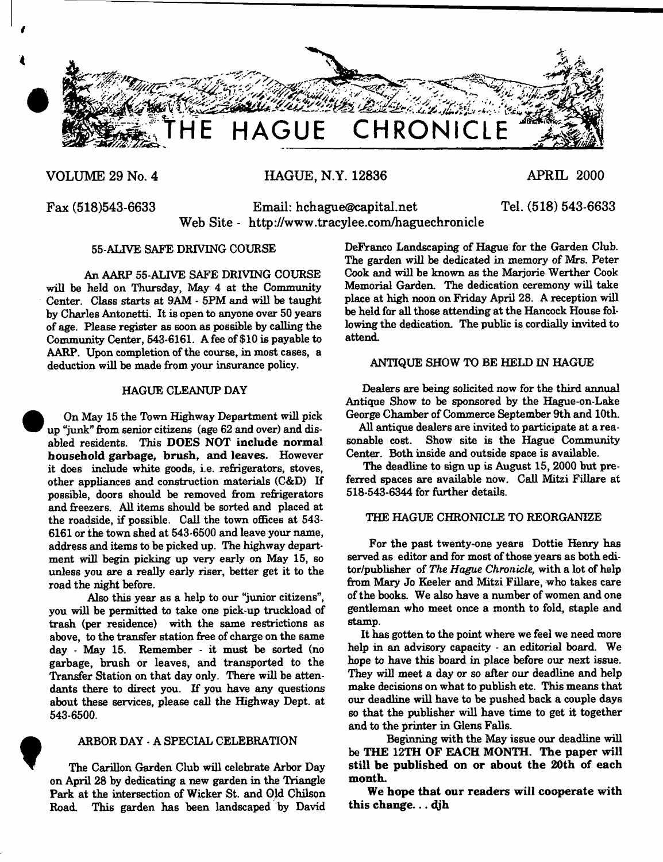

# **VOLUME 29 No. 4 HAGUE, N.Y. 12836 APRIL 2000**

**Tel. (518) 543-6633**

**Fax (518)543-6633 Email: [hchague@capital.net](mailto:hchague@capital.net) Web Site - <http://www.tracylee.com/haguechronicle>**

# **55-ALTVE SAFE DRIVING COURSE**

**An AARP 55-ALIVE SAFE DRIVING COURSE will be held on Thursday, May 4 at the Community Center. Class starts at 9AM - 5PM and will be taught by Charles Antonetti. It is open to anyone over 50 years of age. Please register as soon as possible by calling the Community Center, 543-6161. A fee of \$10 is payable to AARP. Upon completion of the course, in most cases, a deduction will be made from your insurance policy.**

## **HAGUE CLEANUP DAY**

**On May 15 the Town Highway Department will pick up "junk" from senior citizens (age 62 and over) and dis**abled residents. This DOES NOT include normal **household garbage, brush, and leaves. However it does include white goods, i.e. refrigerators, stoves, other appliances and construction materials (C&D) If possible, doors should be removed from refrigerators and freezers. All items should be sorted and placed at the roadside, if possible. Call the town offices at 543- 6161 or the town shed at 543-6500 and leave your name, address and items to be picked up. The highway department will begin picking up very early on May 15, so unless you are a really early riser, better get it to the road the night before.**

**Also this year as a help to our "junior citizens", you will be permitted to take one pick-up truckload of trash (per residence) with the same restrictions as above, to the transfer station free of charge on the same day - May 15. Remember - it must be sorted (no garbage, brush or leaves, and transported to the Transfer Station on that day only. There will be attendants there to direct you. If you have any questions about these services, please call the Highway Dept, at 543-6500.**

# **ARBOR DAY - A SPECIAL CELEBRATION**

**t The Carillon Garden Club will celebrate Arbor Day on April 28 by dedicating a new garden in the Triangle Park at the intersection of Wicker St. and Old Chilson Road. This garden has been landscaped by David**

**DeFranco Landscaping of Hague for the Garden Club.** The garden will be dedicated in memory of Mrs. Peter Cook and will be known as the Marjorie Werther Cook **Memorial Garden. The dedication ceremony will take place at high noon on Friday April 28. A reception will be held for all those attending at the Hancock House following the dedication. The public is cordially invited to attend.**

# **ANTIQUE SHOW TO BE HELD IN HAGUE**

**Dealers are being solicited now for the third annual Antique Show to be sponsored by the Hague-on-Lake George Chamber of Commerce September 9th and 10th.**

**All antique dealers are invited to participate at a reasonable cost. Show site is the Hague Community Center. Both inside and outside space is available.**

**The deadline to sign up is August 15, 2000 but preferred spaces are available now. Call Mitzi Fillare at 518-543-6344 for further details.**

# **THE HAGUE CHRONICLE TO REORGANIZE**

**For the past twenty-one years Dottie Henry has served as editor and for most of those years as both editor/publisher of** *The Hague Chronicle,* **with a lot of help from Mary Jo Keeler and Mitzi Fillare, who takes care of the books. We also have a number of women and one gentleman who meet once a month to fold, staple and stamp.**

**It has gotten to the point where we feel we need more help in an advisory capacity - an editorial board. We hope to have this board in place before our next issue. They will meet a day or so after our deadline and help make decisions on what to publish etc. This means that our deadline will have to be pushed back a couple days so that the publisher will have time to get it together and to the printer in Glens Falls.**

**Beginning with the May issue our deadline will** be THE 12TH OF EACH MONTH. The paper will **still be published on or about the 20th of each month.**

We hope that our readers will cooperate with this change... djh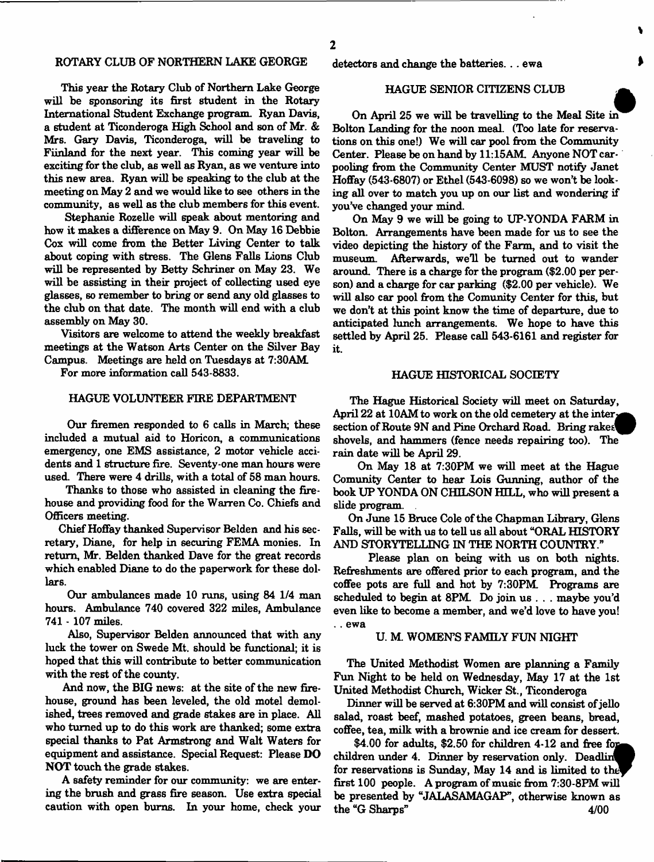# **ROTARY CLUB OF NORTHERN LAKE GEORGE detectors and change the batteries.. . ewa**

**This year the Rotary Club of Northern Lake George will be sponsoring its first student in the Rotary International Student Exchange program. Ryan Davis, a student at Ticonderoga High School and son of Mr. & Mrs. Gary Davis, Ticonderoga, will be traveling to Fiinland for the next year. This coming year will be exciting for the club, as well as Ryan, as we venture into this new area. Ryan will be speaking to the club at the meeting on May 2 and we would like to see others in the community, as well as the club members for this event.**

**Stephanie Rozelle will speak about mentoring and how it makes a difference on May 9. On May 16 Debbie Cox will come from the Better Living Center to talk about coping with stress. The Glens Falls Lions Club will be represented by Betty Schriner on May 23. We will be assisting in their project of collecting used eye glasses, so remember to bring or send any old glasses to the club on that date. The month will end with a club assembly on May 30.**

**Visitors are welcome to attend the weekly breakfast meetings at the Watson Arts Center on the Silver Bay Campus. Meetings are held on Tuesdays at 7:30AM**

**For more information call 543-8833.**

#### **HAGUE VOLUNTEER FIRE DEPARTMENT**

**Our firemen responded to 6 calls in March; these included a mutual aid to Horicon, a communications emergency, one EMS assistance, 2 motor vehicle accidents and 1 structure fire. Seventy-one man hours were used. There were 4 drills, with a total of 58 man hours.**

**Thanks to those who assisted in cleaning the firehouse and providing food for the Warren Co. Chiefs and Officers meeting.**

**Chief Hoffay thanked Supervisor Belden and his secretary, Diane, for help in securing FEMA monies. In return, Mr. Belden thanked Dave for the great records which enabled Diane to do the paperwork for these dollars.**

**Our ambulances made 10 runs, using 84 1/4 man hours. Ambulance 740 covered 322 miles, Ambulance 741 - 107 miles.**

**Also, Supervisor Belden announced that with any luck the tower on Swede Mt. should be functional; it is hoped that this will contribute to better communication with the rest of the county.**

**And now, the BIG news: at the site of the new firehouse, ground has been leveled, the old motel demolished, trees removed and grade stakes are in place. All who turned up to do this work are thanked; some extra special thanks to Pat Armstrong and Walt Waters for equipment and assistance. Special Request: Please DO NOT touch the grade stakes.**

**A safety reminder for our community: we are entering the brush and grass fire season. Use extra special caution with open burns. In your home, check your**

#### **HAGUE SENIOR CITIZENS CLUB**

**On April 25 we will be travelling to the Meal Site in Bolton Landing for the noon meal. (Too late for reservations on this one!) We will car pool from the Community** Center. Please be on hand by 11:15AM. Anyone NOT car**pooling from the Community Center MUST notify Janet Hoffay (543-6807) or Ethel (543-6098) so we won't be looking all over to match you up on our list and wondering if you've changed your mind.**

**On May 9 we will be going to UP-YONDA FARM in Bolton. Arrangements have been made for us to see the video depicting the history of the Farm, and to visit the museum. Afterwards, we'll be turned out to wander around. There is a charge for the program (\$2.00 per person) and a charge for car parking (\$2.00 per vehicle). We will also car pool from the Comunity Center for this, but we don't at this point** know **the time of departure, due to anticipated lunch arrangements. We hope to have this settled by April 25. Please call 543-6161 and register for it.**

# **HAGUE HISTORICAL SOCIETY**

**The Hague Historical Society will meet on Saturday,** April 22 at 10AM to work on the old cemetery at the inter **section of Route 9N and Pine Orchard Road. Bring rake&^P shovels, and hammers (fence needs repairing too). The rain date will be April 29.**

**On May 18 at 7:30PM we will meet at the Hague Comunity Center to hear Lois Gunning, author of the book UP YONDA ON CHILSON HELL, who will present a slide program.**

**On June 15 Bruce Cole of the Chapman Library, Glens Falls, will be with us to tell us all about "ORAL HISTORY AND STORYTELLING IN THE NORTH COUNTRY."**

**Please plan on being with us on both nights. Refreshments are offered prior to each program, and the coffee pots are full and hot by 7:30PM Programs are scheduled to begin at 8PM Do join us . . . maybe you'd even like to become a member, and we'd love to have you! . . ewa**

#### **U. M. WOMEN'S FAMILY FUN NIGHT**

**The United Methodist Women are planning a Family Fun Night to be held on Wednesday, May 17 at the 1st United Methodist Church, Wicker St., Ticonderoga**

**Dinner will be served at 6:30PM and will consist of jello salad, roast beef, mashed potatoes, green beans, bread, coffee, tea, milk with a brownie and ice cream for dessert.**

\$4.00 for adults, \$2.50 for children 4-12 and free for children under 4. Dinner by reservation only. Deadlin for reservations is Sunday, May 14 and is limited to the **first 100 people. A program of music from 7:30-8FM will be presented by "JALASAMAGAP", otherwise known as the "G Sharps" 4/00**

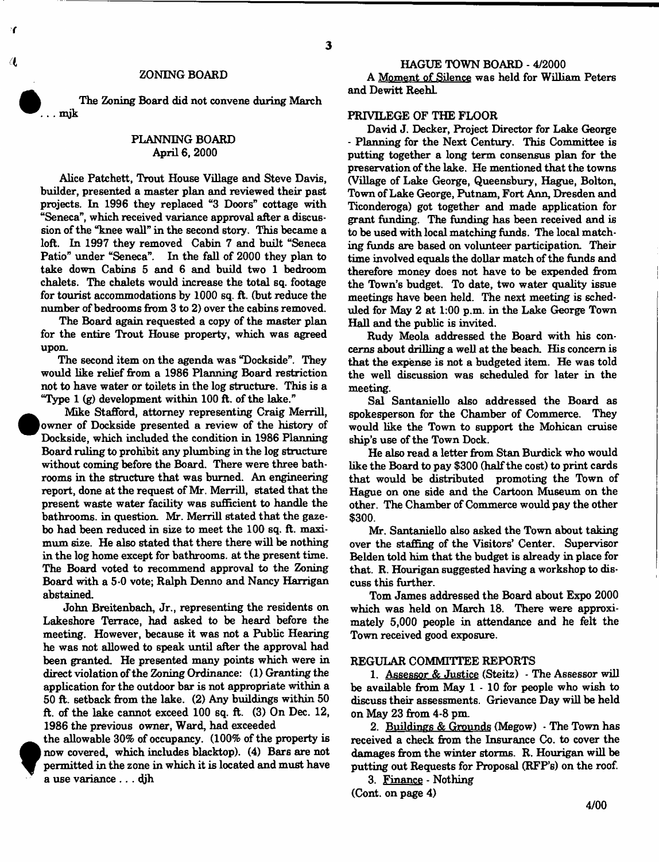#### **ZONING BOARD**

**The Zoning Board did not convene during March . . mjk**

# **PLANNING BOARD April 6, 2000**

**Alice Patchett, Trout House Village and Steve Davis, builder, presented a master plan and reviewed their past projects. In 1996 they replaced "3 Doors" cottage with "Seneca", which received variance approval after a discussion of the "knee wall" in the second story. This became a loft. In 1997 they removed Cabin 7 and built "Seneca Patio" under "Seneca". In the fall of 2000 they plan to take down Cabins 5 and 6 and build two 1 bedroom chalets. The chalets would increase the total sq. footage for tourist accommodations by 1000 sq. ft. (but reduce the number of bedrooms from 3 to 2) over the cabins removed.**

**The Board again requested a copy of the master plan for the entire Trout House property, which was agreed upon.**

**The second item on the agenda was "Dockside". They would like relief from a 1986 Planning Board restriction not to have water or toilets in the log structure. This is a "Type 1 (g) development within 100 ft. of the lake."**

 $\bullet$ 

T

**f**

 **Mike Stafford, attorney representing Craig Merrill, owner of Dockside presented a review of the history of Dockside, which included the condition in 1986 Planning Board ruling to prohibit any plumbing in the log structure without coming before the Board. There were three bathrooms in the structure that was burned. An engineering report, done at the request of Mr. Merrill, stated that the present waste water facility was sufficient to handle the bathrooms, in question. Mr. Merrill stated that the gazebo had been reduced in size to meet the 100 sq. ft. maximum size. He also stated that there there will be nothing in the log home except for bathrooms, at the present time. The Board voted to recommend approval to the Zoning Board with a 5 0 vote; Ralph Denno and Nancy Harrigan abstained.**

**John Breitenbach, Jr., representing the residents on Lake shore Terrace, had asked to be heard before the meeting. However, because it was not a Public Hearing he was not allowed to speak until after the approval had been granted. He presented many points which were in direct violation of the Zoning Ordinance: (1) Granting the application for the outdoor bar is not appropriate within a 50 ft. setback from the lake. (2) Any buildings within 50 ft. of the lake cannot exceed 100 sq. ft. (3) On Dec. 12, 1986 the previous owner, Ward, had exceeded**

**the allowable 30% of occupancy. (100% of the property is now covered, which includes blacktop). (4) Bars are not permitted in the zone in which it is located and must have a use variance .. . djh**

*(I* **HAGUE TOWN BOARD - 4/2000 A Moment of Silence was held for William Peters and Dewitt ReehL**

# **PRIVILEGE OF THE FLOOR**

**David J. Decker, Project Director for Lake George - Planning for the Next Century. This Committee is putting together a long term consensus plan for the preservation of the lake. He mentioned that the towns (Village of Lake George, Queensbury, Hague, Bolton, Town of Lake George, Putnam, Fort Ann, Dresden and Ticonderoga) got together and made application for grant funding. The funding has been received and is to be used with local matching funds. The local matching funds are based on volunteer participation. Their time involved equals the dollar match of the funds and therefore money does not have to be expended from the Town's budget. To date, two water quality issue meetings have been held. The next meeting is scheduled for May 2 at 1:00 p.m. in the Lake George Town Hall and the public is invited.**

**Rudy Meola addressed the Board with his concerns about drilling a well at the beach His concern is that the expense is not a budgeted item. He was told the well discussion was scheduled for later in the meeting.**

**Sal Santaniello also addressed the Board as spokesperson for the Chamber of Commerce. They would like the Town to support the Mohican cruise ship's use of the Town Dock.**

**He also read a letter from Stan Burdick who would like the Board to pay \$300 (half the cost) to print cards that would be distributed promoting the Town of Hague on one side and the Cartoon Museum on the other. The Chamber of Commerce would pay the other \$300.**

**Mr. Santaniello also asked the Town about taking over the staffing of the Visitors' Center. Supervisor Belden told him that the budget is already in place for that. R. Hourigan suggested having a workshop to discuss this further.**

**Tom James addressed the Board about Expo 2000 which was held on March 18. There were approximately 5,000 people in attendance and he felt the Town received good exposure.**

#### **REGULAR COMMITTEE REPORTS**

**1. Assessor & Justice (Steitz) - The Assessor will be available from May 1 - 10 for people who wish to discuss their assessments. Grievance Day will be held on May 23 from 4-8 pm.**

**2. Buildings & Grounds (Megow) - The Town has received a check from the Insurance Co. to cover the damages from the winter storms. R. Hourigan will be putting out Requests for Proposal (RFP's) on the roof.**

**3. Finance - Nothing (Cont. on page 4)**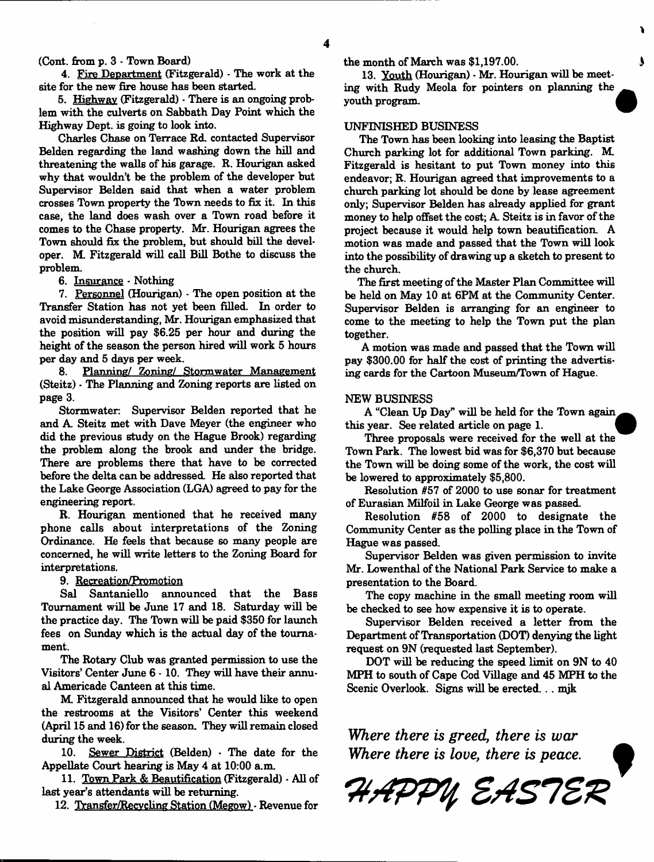**(Cont. from p. 3 - Town Board)**

**4. Fire Department (Fitzgerald) - The work at the site for the new fire house has been started.**

**5. Highway (Fitzgerald) \* There is an ongoing problem with the culverts on Sabbath Day Point which the Highway Dept, is going to look into.**

**Charles Chase on Terrace Rd. contacted Supervisor Belden regarding the land washing down the hill and threatening the walls of his garage. R. Hourigan asked why that wouldn't be the problem of the developer but Supervisor Belden said that when a water problem crosses Town property the Town needs to fix it. In this case, the land does wash over a Town road before it comes to the Chase property. Mr. Hourigan agrees the Town should fix the problem, but should bill the developer. M. Fitzgerald will call Bill Bothe to discuss the problem.**

**6. Insurance - Nothing**

**7. Personnel (Hourigan) - The open position at the Transfer Station has not yet been filled. In order to avoid misunderstanding, Mr. Hourigan emphasized that the position will pay \$6.25 per hour and during the height of the season the person hired will work 5 hours per day and 5 days per week.**

**8. Planning/** Zoning/ **Stormwater Management (Steitz) - The Planning and Zoning reports are listed on page 3.**

**Stormwater; Supervisor Belden reported that he and A. Steitz met with Dave Meyer (the engineer who did the previous study on the Hague Brook) regarding the problem along the brook and under the bridge. There are problems there that have to be corrected before the delta can be addressed. He also reported that the Lake George Association (LGA) agreed to pay for the engineering report.**

**R. Hourigan mentioned that he received many phone calls about interpretations of the Zoning Ordinance. He feels that because so many people are concerned, he will write letters to the Zoning Board for interpretations.**

**9. Recreation/Promotion**

**Sal Santaniello announced that the Bass Tournament will be June 17 and 18. Saturday will be the practice day. The Town will be paid \$350 for launch fees on Sunday which is the actual day of the tournament.**

**The Rotary Club was granted permission to use the Visitors' Center June 6 - 10. They will have their annual Americade Canteen at this time.**

**M Fitzgerald announced that he would like to open the restrooms at the Visitors' Center this weekend (April 15 and 16) for the season. They will remain closed during the week.**

**10. Sewer District (Belden) - The date for the Appellate Court hearing is May 4 at 10:00 a.m.**

**11. Town Park & Beautification (Fitzgerald) - All of last year's attendants will be returning.**

**12. Transfer/Recvcling Station (Meeow) - Revenue for**

**the month of March was \$1,197.00.**

**13. Youth (Hourigan) - Mr. Hourigan will be meeting with Rudy Meola for pointers on planning the youth program. |**

### **UNFINISHED BUSINESS**

**The Town has been looking into leasing the Baptist Church parking lot for additional Town parking. M. Fitzgerald is hesitant to put Town money into this endeavor; R. Hourigan agreed that improvements to a church parking lot should be done by lease agreement only; Supervisor Belden has already applied for grant money to help offset the cost; A Steitz is in favor of the project because it would help town beautification. A motion was made and passed that the Town will look into the possibility of drawing up a sketch to present to the church.**

**The first meeting of the Master Plan Committee will be held on May 10 at 6PM at the Community Center. Supervisor Belden is arranging for an engineer to come to the meeting to help the Town put the plan together.**

**A motion was made and passed that the Town will pay \$300.00 for half the cost of printing the advertising cards for the Cartoon Museum/Town of Hague.**

#### **NEW BUSINESS**

**A "Clean Up Day" will be held for the Town again this year. See related article on page 1. {**

**Three proposals were received for the well at the Town Park. The lowest bid was for \$6,370 but because the Town will be doing some of the work, the cost will be lowered to approximately \$5,800.**

**Resolution #57 of 2000 to use sonar for treatment of Eurasian Milfoil in Lake George was passed.**

**Resolution #58 of 2000 to designate the Community Center as the polling place in the Town of Hague was passed.**

**Supervisor Belden was given permission to invite Mr. Lowenthal of the National Park Service to make a presentation to the Board.**

**The copy machine in the small meeting room will be checked to see how expensive it is to operate.**

**Supervisor Belden received a letter from the Department of Transportation (DOT) denying the light request on 9N (requested last September).**

**DOT will be reducing the speed limit on 9N to 40 MPH to south of Cape Cod Village and 45 MPH to the Scenic Overlook. Signs will be erected... mjk**

*Where there is greed, there is war Where there is love, there is peace***.**

HAPPY EASTER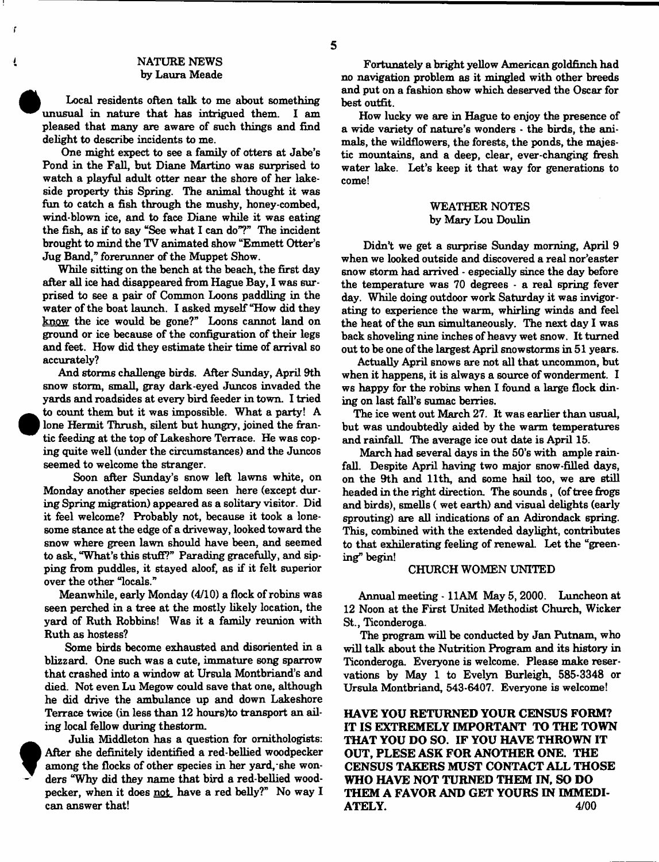# **NATURE NEWS by Laura Meade**

Ť

į

**Local residents often talk to me about something unusual in nature that has intrigued them. I am pleased that many are aware of such things and find delight to describe incidents to me.**

**One might expect to see a family of otters at Jabe's Pond in the Fall, but Diane Martino was surprised to watch a playful adult otter near the shore of her lakeside property this Spring. The animal thought it was fun to catch a fish through the mushy, honey combed, wind-blown ice, and to face Diane while it was eating the fish, as if to say "See what I can do"?" The incident brought to mind the TV animated show "Emmett Otter's Jug Band," forerunner of the Muppet Show.**

**While sitting on the bench at the beach, the first day after all ice had disappeared from Hague Bay, 1 was surprised to see a pair of Common Loons paddling in the water of the boat launch. I asked myself "How did they know the ice would be gone?" Loons cannot land on ground or ice because of the configuration of their legs and feet. How did they estimate their time of arrival so accurately?**

**And storms challenge birds. After Sunday, April 9th snow storm, small, gray dark-eyed Juncos invaded the yards and roadsides at every bird feeder in town. I tried to count them but it was impossible. What a party! A lone Hermit Thrush, silent but hungry, joined the frantic feeding at the top of Lakeshore Terrace. He was coping quite well (under the circumstances) and the Juncos seemed to welcome the stranger.**

**Soon after Sunday's snow left lawns white, on Monday another species seldom seen here (except during Spring migration) appeared as a solitary visitor. Did it feel welcome? Probably not, because it took a lonesome stance at the edge of a driveway, looked toward the snow where green lawn should have been, and seemed to ask, "What's this stuff?" Parading gracefully, and sipping from puddles, it stayed aloof, as if it felt superior over the other "locals."**

**Meanwhile, early Monday (4/10) a flock of robins was seen perched in a tree at the mostly likely location, the yard of Ruth Robbins! Was it a family reunion with Ruth as hostess?**

**Some birds become exhausted and disoriented in a blizzard.** One such was a cute, immature song sparrow **that crashed into a window at Ursula Montbriand's and died. Not even Lu Megow could save that one, although he did drive the ambulance up and down Lakeshore Terrace twice (in less than 12 hours)to transport an ailing local fellow during the storm.**



**Fortunately a bright yellow American goldfinch had no navigation problem as it mingled with other breeds and put on a fashion show which deserved the Oscar for best outfit.**

**How lucky we are in Hague to enjoy the presence of a wide variety of nature's wonders - the birds, the ani**mals, the wildflowers, the forests, the ponds, the majes**tic mountains, and a deep, clear, ever-changing fresh water lake. Let's keep it that way for generations to come!**

# **WEATHER NOTES by Mary Lou Doulin**

**Didn't we get a surprise Sunday morning, April 9 when we looked outside and discovered a real nor'easter snow storm had arrived - especially since the day before the temperature was 70 degrees - a real spring fever day. While doing outdoor work Saturday it was invigorating to experience the warm, whirling winds and feel the heat of the sun simultaneously. The next day I was back shoveling nine inches of heavy wet snow. It turned out to be one of the largest April snowstorms in 51 years.**

**Actually April snows are not all that uncommon, but when it happens, it is always a source of wonderment. I ws happy for the robins when I found a large flock dining on last fall's sumac berries.**

**The ice went out March 27. It was earlier than usual, but was undoubtedly aided by the warm temperatures and rainfall. The average ice out date is April 15.**

**March had several days in the 50's with ample rainfall. Despite April having two major snow-filled days, on the 9th and 11th, and some hail too, we are still headed in the right direction. The sounds, (of tree frogs and birds), smells ( wet earth) and visual delights (early sprouting) are all indications of an Adirondack spring. This, combined with the extended daylight, contributes to that exhilerating feeling of renewal. Let the "greening" begin!**

# **CHURCH WOMEN UNITED**

**Annual meeting - 11AM May 5, 2000. Luncheon at 12 Noon at the First United Methodist Church, Wicker St., Ticonderoga.**

**The program will be conducted by Jan Putnam, who will talk about the Nutrition Program and its history in Ticonderoga. Everyone is welcome. Please make reservations by May 1 to Evelyn Burleigh, 585-3348 or Ursula Montbriand, 543-6407. Everyone is welcome!**

**HAVE YOU RETURNED YOUR CENSUS FORM? IT IS EXTREMELY IMPORTANT TO THE TOWN THAT YOU DO SO. IF YOU HAVE THROWN IT OUT, PLESE ASK FOR ANOTHER ONE. THE CENSUS TAKERS MUST CONTACT ALL THOSE WHO HAVE NOT TURNED THEM IN, SO DO THEM A FAVOR AND GET YOURS IN IMMEDI-<br>ATELY.** 4/00 **ATELY.**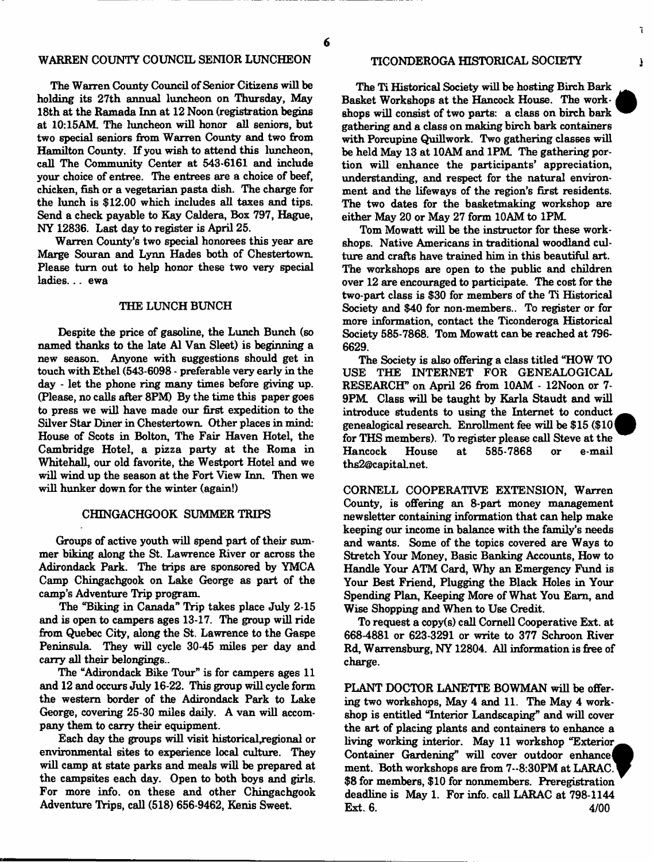### **WARREN COUNTY COUNCIL SENIOR LUNCHEON**

**The Warren County Council of Senior Citizens will be holding its 27th annual luncheon on Thursday, May 18th at the Ramada Inn at 12 Noon (registration begins at 10:15AM. The luncheon will honor all seniors, but two special seniors from Warren County and two from** Hamilton County. If you wish to attend this luncheon, **call The Community Center at 543-6161 and include your choice of entree. The entrees are a choice of beef, chicken, fish or a vegetarian pasta dish. The charge for** the lunch is \$12.00 which includes all taxes and tips. **Send a check payable to Kay Caldera, Box 797, Hague, NY 12836. Last day to register is April 25.**

**Warren County's two special honorees this year are** Marge Souran and Lynn Hades both of Chestertown. **Please turn out to help honor these two very special ladies... ewa**

## **THE LUNCH BUNCH**

**Despite the price of gasoline, the Lunch Bunch (so named thanks to the late A1 Van Sleet) is beginning a new season. Anyone with suggestions should get in touch with Ethel (543-6098 - preferable very early in the day - let the phone ring many times before giving up. (Please, no calls after 8PM) By the time this paper goes to press we will have made our first expedition to the Silver Star Diner in Chestertown. Other places in mind: House of Scots in Bolton, The Fair Haven Hotel, the Cambridge Hotel, a pizza party at the Roma in Whitehall, our old favorite, the Westport Hotel and we will wind up the season at the Fort View Inn. Then we will hunker down for the winter (again!)**

#### **CHINGACHGOOK SUMMER TRIPS**

**Groups of active youth will spend part of their summer biking along the St. Lawrence River or across the Adirondack Park. The trips are sponsored by YMCA Camp Chingachgook on Lake George as part of the camp's Adventure Trip program.**

**The "Biking in Canada" Trip takes place July 2-15 and is open to campers ages 13-17. The group will ride from Quebec City, along the St. Lawrence to the Gaspe Peninsula They will cycle 30-45 mile6 per day and carry all their belongings..**

**The "Adirondack Bike Tour" is for campers ages 11 and 12 and occurs July 16-22. This group will cycle form the western border of the Adirondack Park to Lake George, covering 25-30 miles daily. A van will accompany them to carry their equipment.**

**Each day the groups will visit historical,regional or environmental sites to experience local culture. They will camp at state parks and meals will be prepared at the campsites each day. Open to both boys and girls. For more info, on these and other Chingachgook Adventure Trips, call (518) 656-9462, Kenis Sweet.**

#### **TICONDEROGA HISTORICAL SOCIETY**

**The Ti Historical Society will be hosting Birch Bark Basket Workshops at the Hancock House. The work**-1 **shops will consist of two parts: a class on birch bark gathering and a class on making birch bark containers with Porcupine Quillwork. Two gathering classes will be held May 13 at 10AM and 1PM The gathering portion will enhance the participants' appreciation, understanding, and respect for the natural environment and the lifeways of the region's first residents. The two dates for the basketmaking workshop are either May 20 or May 27 form 10AM to 1PM**

**Tom Mowatt will be the instructor for these workshops. Native Americans in traditional woodland culture and crafts have trained him in this beautiful art. The workshops are open to the public and children over 12 are encouraged to participate. The cost for the two-part class is \$30 for members of the Ti Historical Society and \$40 for non-members.. To register or for more information, contact the Ticonderoga Historical Society 585-7868. Tom Mowatt can be reached at 796- 6629.**

**The Society is also offering a class titled "HOW TO USE THE INTERNET FOR GENEALOGICAL RESEARCH" on April 26 from 10AM - 12 Noon or 7- 9PM Class will be taught by Karla Staudt and will introduce students to using the Internet to conduct genealogical research. Enrollment fee will be \$15 (\$10** *\* **for THS members). To register please call Steve at the Hancock House at 585-7868 or e-mail [ths2@capital.net](mailto:ths2@capital.net).**

**CORNELL COOPERATIVE EXTENSION, Warren County, is offering an 8-part money management newsletter containing information that can help make keeping our income in balance with the family's needs and wants. Some of the topics covered are Ways to Stretch Your Money, Basic Banking Accounts, How to Handle Your ATM Card, Why an Emergency Fund is Your Best Friend, Plugging the Black Holes in Your Spending Plan, Keeping More of What You Earn, and Wise Shopping and When to Use Credit.**

**To request a copy(s) call Cornell Cooperative Ext. at 668-4881 or 623-3291 or write to 377 Schroon River Rd, Warrensburg, NY 12804. All information is free of charge.**

**PLANT DOCTOR LANETTE BOWMAN will be offering two workshops, May 4 and 11. The May 4 workshop is entitled "Interior Landscaping" and will cover the art of placing plants and containers to enhance a living working interior. May 11 workshop "Exterior Container Gardening" will cover outdoor enhance! ment. Both workshops are from 7--8:30PM at LARAC \$8 for members, \$10 for nonmembers. Preregistration deadline is May 1. For info, call LARAC at 798-1144 Ext. 6.** 4/00

ĩ.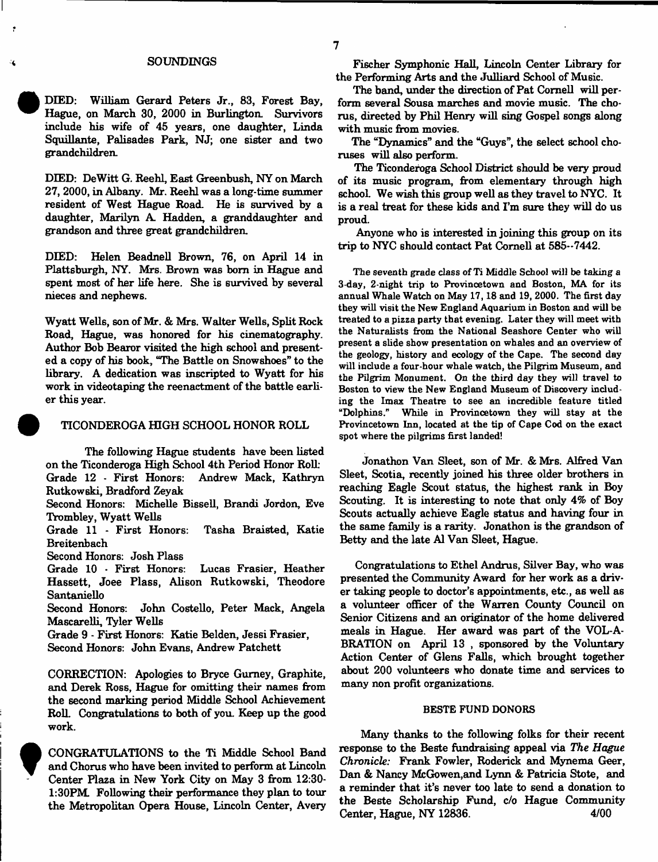#### **SOUNDINGS**

**DIED: William Gerard Peters Jr., 83, Forest Bay, Hague, on March 30, 2000 in Burlington. Survivors include his wife of 45 years, one daughter, Linda Squillante, Palisades Park, NJ; one sister and two grandchildren.**

**DEED: DeWitt G. Reehl, East Greenbush, NY on March 27, 2000, in Albany. Mr. Reehl was a long-time summer resident of West Hague Road. He is survived by a daughter, Marilyn A. Hadden, a granddaughter and grandson and three great grandchildren.**

**DEED: Helen Beadnell Brown, 76, on April 14 in Plattsburgh, NY. Mrs. Brown was bom in Hague and spent most of her life here. She is survived by several nieces and nephews.**

**Wyatt Wells, son of Mr. & Mrs. Walter Wells, Split Rock Road, Hague, was honored for his cinematography. Author Bob Bearor visited the high school and presented a copy of his book, "The Battle on Snowshoes" to the library. A dedication was inscripted to Wyatt for his work in videotaping the reenactment of the battle earlier this year.**

#### **TICONDEROGA HIGH SCHOOL HONOR ROLL**

**The following Hague students have been listed on the Ticonderoga High School 4th Period Honor Roll: Grade 12 - First Honors: Andrew Mack, Kathryn Rutkowski, Bradford Zeyak**

**Second Honors: Michelle Bissell, Brandi Jordon, Eve Trombley, Wyatt Wells**

**Grade 11 - First Honors: Tasha Braisted, Katie Breitenbach**

**Second Honors: Josh Plass**

**Grade 10 - First Honors: Lucas Frasier, Heather Hassett, Joee Plass, Alison Rutkowski, Theodore Santaniello**

**Second Honors: John Costello, Peter Mack, Angela Mascarelli, Tyler Wells**

**Grade 9 - First Honors: Katie Belden, Jessi Frasier, Second Honors: John Evans, Andrew Patchett**

**CORRECTION: Apologies to Bryce Gurney, Graphite, and Derek Ross, Hague for omitting their names from the second marking period Middle School Achievement Roll. Congratulations to both of you. Keep up the good work.**



**Fischer Symphonic Hall, Lincoln Center Library for the Performing Arts and the Julliard School of Music.**

**The band, under the direction of Pat Cornell will perform several Sousa marches and movie music. The chorus, directed by Phil Henry will sing Gospel songs along with music from movies.**

**The "Dynamics" and the "Guys", the select school choruses will also perform.**

**The Ticonderoga School District should be very proud of its music program, from elementary through high school. We wish this group well as they travel to NYC. It is a real treat for these kids and I'm sure they will do us proud.**

**Anyone who is interested in joining this group on its trip to NYC should contact Pat Cornell at 585\*\*7442.**

The seventh grade class of Ti Middle School will be taking a 3-day, 2-night trip to Provincetown and Boston, MA for its annual Whale Watch on May 17,18 and 19,2000. The first day they will visit the New England Aquarium in Boston and will be treated to a pizza party that evening. Later they will meet with the Naturalists from the National Seashore Center who will present a slide show presentation on whales and an overview of the geology, history and ecology of the Cape. The second day will include a four-hour whale watch, the Pilgrim Museum, and the Pilgrim Monument. On the third day they will travel to Boston to view the New England Museum of Discovery including the Imax Theatre to see an incredible feature titled "Dolphins." While in Provincetown they will stay at the Provincetown Inn, located at the tip of Cape Cod on the exact spot where the pilgrims first landed!

**Jonathon Van Sleet, son of Mr.** *&* **Mrs. Alfred Van Sleet, Scotia, recently joined his three older brothers in reaching Eagle Scout status, the highest rank in Boy Scouting. It is interesting to note that only 4% of Boy Scouts actually achieve Eagle status and having four in the same family is a rarity. Jonathon is the grandson of Betty and the late A1 Van Sleet, Hague.**

**Congratulations to Ethel Andrus, Silver Bay, who was presented the Community Award for her work as a driver taking people to doctor's appointments, etc., as well as a volunteer officer of the Warren County Council on Senior Citizens and an originator of the home delivered meals in Hague. Her award was part of the VOL-A-BRATION on April 13 , sponsored by the Voluntary Action Center of Glens Falls, which brought together about 200 volunteers who donate time and services to many non profit organizations.**

#### BESTE FUND DONORS

**Many thanks to the following folks for their recent response to the Beste fundraising appeal via** *The Hague Chronicle:* **Frank Fowler, Roderick and Mynema Geer, Dan & Nancy McGowen,and Lynn & Patricia Stote, and a reminder that it's never too late to send a donation to the Beste Scholarship Fund, c/o Hague Community Center, Hague, NY 12836. 4/00**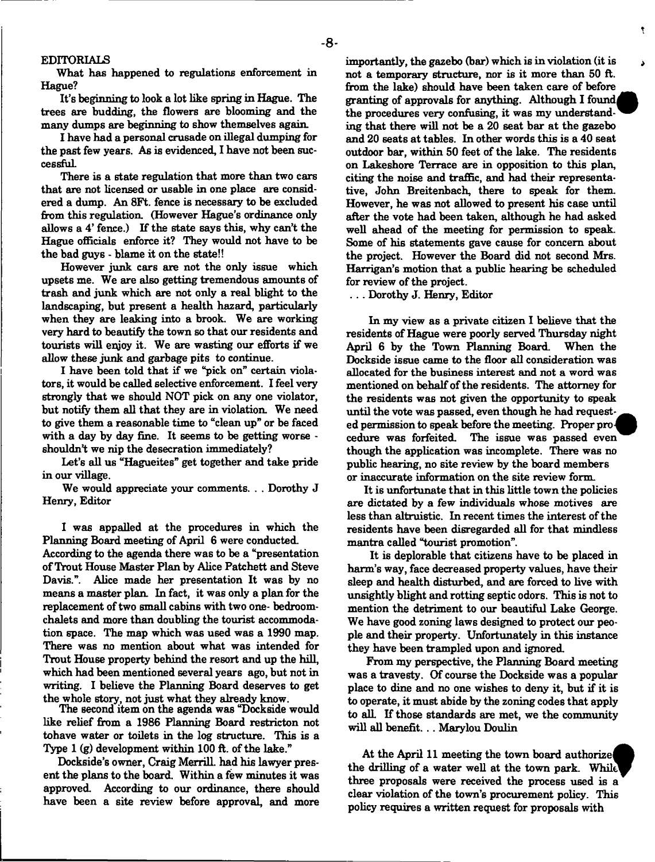#### **EDITORIALS**

**What has happened to regulations enforcement in Hague?**

**It's beginning to look a lot like spring in Hague. The trees are budding, the flowers are blooming and the many dumps are beginning to show themselves again.**

**I have had a personal crusade on illegal dumping for the past few years. As is evidenced, I have not been successful**

**There is a state regulation that more than two cars that are not licensed or usable in one place are considered a dump. An 8Ft. fence is necessary to be excluded from this regulation. (However Hague's ordinance only allows a 4' fence.) If the state says this, why can't the Hague officials enforce it? They would not have to be the bad guys - blame it on the state!!**

**However junk cars are not the only issue which upsets me. We are also getting tremendous amounts of trash and junk which are not only a real blight to the landscaping, but present a health hazard, particularly when they are leaking into a brook. We are working very hard to beautify the town so that our residents and tourists will enjoy it. We are wasting our efforts if we allow these junk and garbage pits to continue.**

**I have been told that if we "pick on" certain violators, it would be called selective enforcement. I feel very strongly that we should NOT pick on any one violator, but notify them all that they are in violation. We need to give them a reasonable time to "clean up" or be faced with a day by day fine. It seems to be getting worse shouldn't we nip the desecration immediately?**

**Let's all us "Hagueites" get together and take pride in our village.**

**We would appreciate your comments. . . Dorothy J Henry, Editor**

**I was appalled at the procedures in which the Planning Board meeting of April 6 were conducted.**

**According to the agenda there was to be a "presentation of Trout House Master Plan by Alice Patchett and Steve Davis.". Alice made her presentation It was by no means a master plan. In fact, it was only a plan for the replacement of two small cabins with two one- bedroomchalets and more than doubling the tourist accommodation space. The map which was used was a 1990 map. There was no mention about what was intended for Trout House property behind the resort and up the hill, which had been mentioned several years ago, but not in writing. I believe the Planning Board deserves to get the whole story, not just what they already know.**

**The Becond item on the agenda was "Dockside would like relief from a 1986 Planning Board restricton not tohave water or toilets in the log structure. This is a Type 1 (g) development within 100 ft. of the lake."**

**Dockside's owner, Craig Merrill, had his lawyer present the plans to the board. Within a few minutes it was approved. According to our ordinance, there should have been a site review before approval, and more**

**importantly, the gazebo (bar) which is in violation (it is not a temporary structure, nor is it more than 50 ft. from the lake) should have been taken care of before** granting of approvals for anything. Although I found **the procedures very confusing, it was my understanding that there will not be a 20 seat bar at the gazebo and 20 seats at tables. In other words this is a 40 seat outdoor bar, within 50 feet of the lake. The residents on Lakeshore Terrace are in opposition to this plan, citing the noise and traffic, and had their representative, John Breitenbach, there to speak for them. However, he was not allowed to present his case until after the vote had been taken, although he had asked well ahead of the meeting for permission to speak. Some of his statements gave cause for concern about the project. However the Board did not second Mrs. Harrigan's motion that a public hearing be scheduled for review of the project.**

t

Ä

**. . . Dorothy J. Henry, Editor**

**In my view as a private citizen I believe that the residents of Hague were poorly served Thursday night** April 6 by the Town Planning Board. **Dockside issue came to the floor all consideration was allocated for the business interest and not a word was mentioned on behalf of the residents. The attorney for the residents was not given the opportunity to speak until the vote was passed, even though he had request**ed permission to speak before the meeting. Proper pro**cedure was forfeited. The issue was passed even though the application was incomplete. There was no public hearing, no site review by the board members or inaccurate information on the site review form**

**It is unfortunate that in this little town the policies are dictated by a few individuals whose motives are less than altruistic. In recent times the interest of the residents have been disregarded all for that mindless mantra called "tourist promotion".**

**It is deplorable that citizens have to be placed in harm's way, face decreased property values, have their sleep and health disturbed, and are forced to live with unsightly blight and rotting septic odors. This is not to mention the detriment to our beautiful Lake George. We have good zoning laws designed to protect our people and their property. Unfortunately in this instance they have been trampled upon and ignored.**

**From my perspective, the Planning Board meeting was a travesty. Of course the Dockside was a popular place to dine and no one wishes to deny it, but if it is to operate, it must abide by the zoning codes that apply to alL If those standards are met, we the community will all benefit... Marylou Doulin**

**At the April 11 meeting the town board authorized the drilling of a water well at the town park. Whilu three proposals were received the process used is a clear violation of the town's procurement policy. This policy requires a written request for proposals with**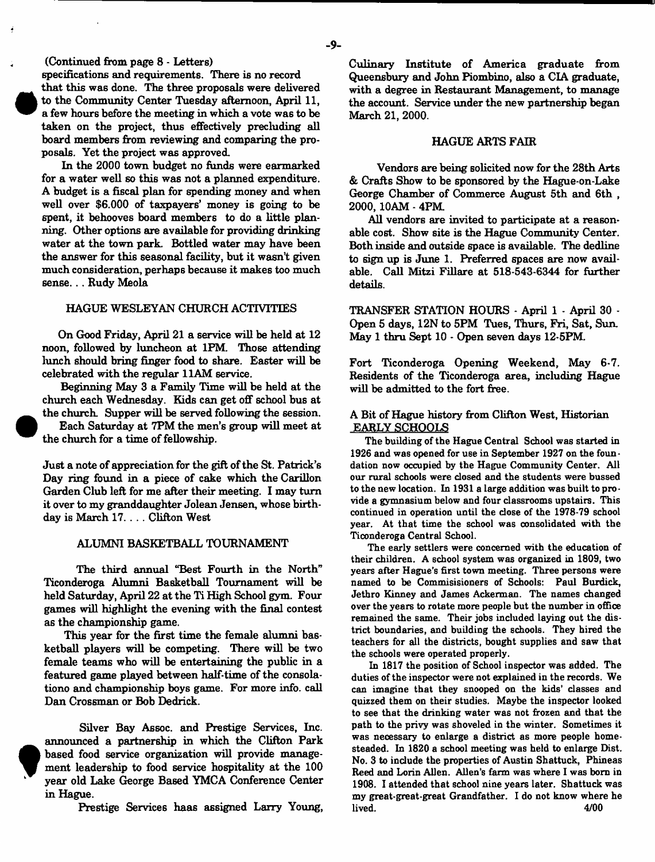**(Continued from page 8 - Letters)**

**specifrcations and requirements. There is no record**

**that this was done. The three proposals were delivered to the Community Center Tuesday afternoon, April 11, a few hours before the meeting in which a vote was to be taken on the project, thus effectively precluding all board members from reviewing and comparing the proposals. Yet the project was approved.**

**In the 2000 town budget no funds were earmarked for a water well so this was not a planned expenditure. A budget is a fiscal plan for spending money and when well over \$6,000 of taxpayers' money is going to be spent, it behooves board members to do a little planning. Other options are** av ailable **for providing drinking water at the town park. Bottled water may have been the answer for this seasonal facility, but it wasn't given much consideration, perhaps because it makes too much sen se... Rudy Meola**

# **HAGUE WESLEYAN CHURCH ACTIVITIES**

**On Good Friday, April 21 a service will be held at 12 noon, followed by luncheon at 1PM. Those attending lunch should bring finger food to share. Easter will be celebrated with the regular 11AM service.**

**Beginning May 3 a Family Time will be held at the church each Wednesday. Kids can get off school bus at the church. Supper will be served following the session.**

**Each Saturday at 7PM the men's group will meet at the church for a time of fellowship.**

**Just a note of appreciation for the gift of the St. Patrick's Day ring found in a piece of cake which the Carillon Garden Club left for me after their meeting. I may turn it over to my granddaughter Jolean Jensen, whose birthday is March 17. . . . Clifton West**

#### **ALUMNI BASKETBALL TOURNAMENT**

**The third annual "Best Fourth in the North" Ticonderoga Alumni Basketball Tournament will be held Saturday, April 22 at the Ti High School gym. Four games will highlight the evening with the final contest as the championship game.**

**This year for the first time the female alumni basketball players will be competing. There will be two female teams who will be entertaining the public in a featured game played between half-time of the consolationo and championship boys game. For more info, call Dan Crossman or Bob Dedrick.**

**Silver Bay Assoc, and Prestige Services, Inc. announced a partnership in which the Clifton Park based food service organization will provide management leadership to food service hospitality at the 100 year old Lake George Based YMCA Conference Center in Hague.**

**Prestige Services haas assigned Larry Young,**

**Culinary Institute of America graduate from Queensbury and John Piombino, also a CIA graduate, with a degree in Restaurant Management, to manage the account. Service under the new partnership began March 21, 2000.**

# **HAGUE ARTS FAIR**

**Vendors are being solicited now for the 28th Arts & Crafts Show to be sponsored by the Hague-on-Lake George Chamber of Commerce August 5th and 6th , 2000,10AM - 4PM.**

**All vendors are invited to participate at a reasonable cost. Show site is the Hague Community Center. Both inside and outside space is available. The dedline to sign up is June 1. Preferred spaces are now available. Call Mitzi Fillare at 518-543-6344 for further details.**

**TRANSFER STATION HOURS - April 1 - April 30 - Open 5 days, 12N to 5PM Tues, Thurs, Fri, Sat, Sun. May 1 thru Sept 10 - Open seven days 12-5PM**

**Fort Ticonderoga Opening Weekend, May 6-7. Residents of the Ticonderoga area, including Hague will be admitted to the fort free.**

# **A Bit of Hague history from Clifton West, Historian EARLY SCHOOLS**

The building of the Hague Central School was started in 1926 and was opened for use in September 1927 on the foundation now occupied by the Hague Community Center. All our rural schools were dosed and the students were bussed to the new location. In 1931 a large addition was built to provide a gymnasium below and four dassrooms upstairs. This continued in operation until the dose of the 1978-79 school year. At that time the school was consolidated with the Ticonderoga Central School.

The early settlers were concerned with the education of their children. A school system was organized in 1809, two years after Hague's first town meeting. Three persons were named to be Commisisioners of Schools: Paul Burdick, Jethro Kinney and James Ackerman. The names changed over the years to rotate more people but the number in office remained the same. Their jobs included laying out the district boundaries, and building the schools. They hired the teachers for all the districts, bought supplies and saw that the schools were operated properly.

In 1817 the position of School inspector was added. The duties of the inspector were not explained in the records. We can imagine that they snooped on the kids' classes and quizzed them on their studies. Maybe the inspector looked to see that the drinking water was not frozen and that the path to the privy was shoveled in the winter. Sometimes it was necessary to enlarge a district as more people homesteaded. In 1820 a school meeting was held to enlarge Dist. No. **3** to include the properties of Austin Shattuck, Phineas Reed and Lorin Allen. Allen's farm was where I was bora in 1908. I attended that school nine years later. Shattuck was my great-great-great Grandfather. I do not know where he  $\mu$  lived.  $4/00$